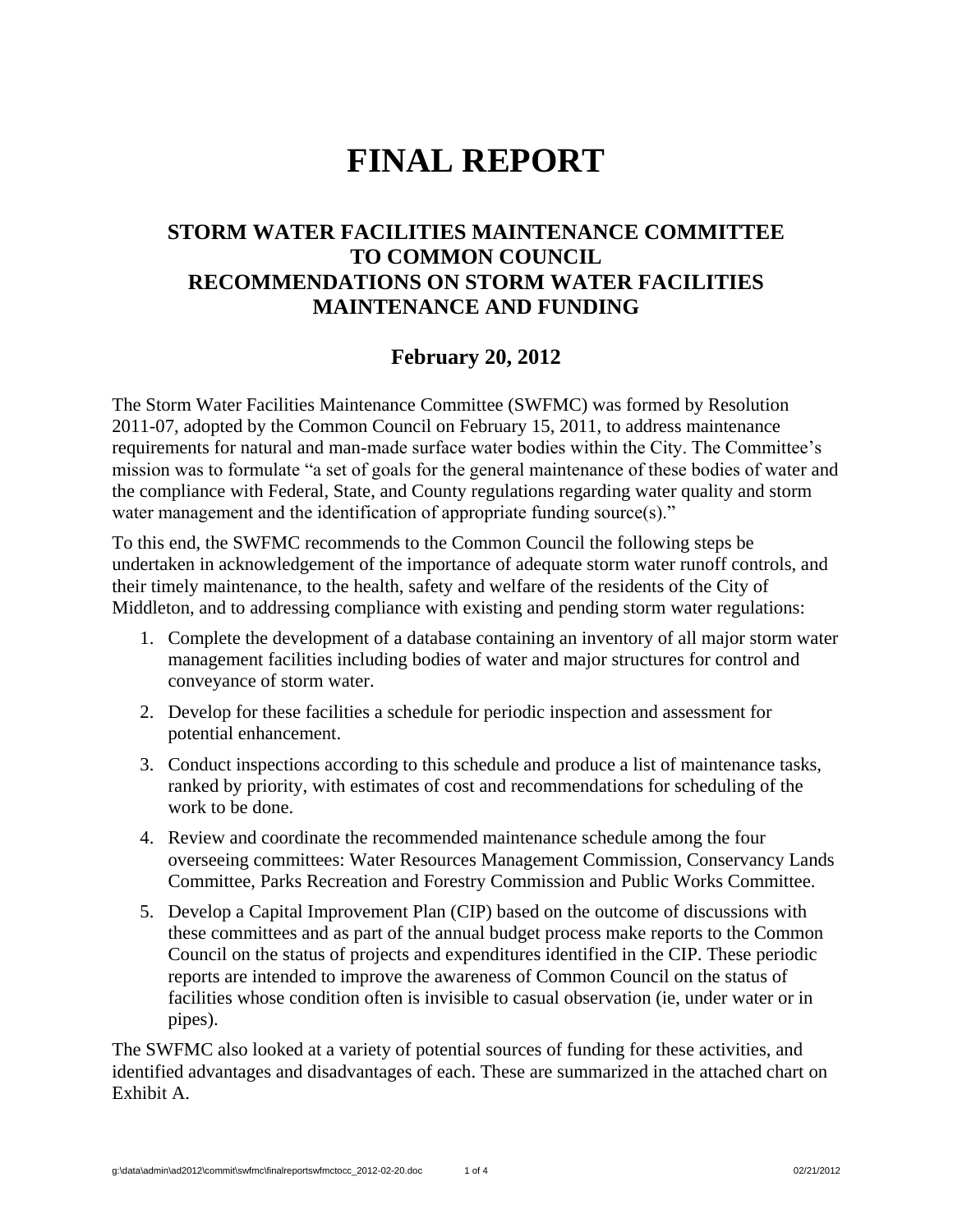# **FINAL REPORT**

#### **STORM WATER FACILITIES MAINTENANCE COMMITTEE TO COMMON COUNCIL RECOMMENDATIONS ON STORM WATER FACILITIES MAINTENANCE AND FUNDING**

#### **February 20, 2012**

The Storm Water Facilities Maintenance Committee (SWFMC) was formed by Resolution 2011-07, adopted by the Common Council on February 15, 2011, to address maintenance requirements for natural and man-made surface water bodies within the City. The Committee's mission was to formulate "a set of goals for the general maintenance of these bodies of water and the compliance with Federal, State, and County regulations regarding water quality and storm water management and the identification of appropriate funding source(s)."

To this end, the SWFMC recommends to the Common Council the following steps be undertaken in acknowledgement of the importance of adequate storm water runoff controls, and their timely maintenance, to the health, safety and welfare of the residents of the City of Middleton, and to addressing compliance with existing and pending storm water regulations:

- 1. Complete the development of a database containing an inventory of all major storm water management facilities including bodies of water and major structures for control and conveyance of storm water.
- 2. Develop for these facilities a schedule for periodic inspection and assessment for potential enhancement.
- 3. Conduct inspections according to this schedule and produce a list of maintenance tasks, ranked by priority, with estimates of cost and recommendations for scheduling of the work to be done.
- 4. Review and coordinate the recommended maintenance schedule among the four overseeing committees: Water Resources Management Commission, Conservancy Lands Committee, Parks Recreation and Forestry Commission and Public Works Committee.
- 5. Develop a Capital Improvement Plan (CIP) based on the outcome of discussions with these committees and as part of the annual budget process make reports to the Common Council on the status of projects and expenditures identified in the CIP. These periodic reports are intended to improve the awareness of Common Council on the status of facilities whose condition often is invisible to casual observation (ie, under water or in pipes).

The SWFMC also looked at a variety of potential sources of funding for these activities, and identified advantages and disadvantages of each. These are summarized in the attached chart on Exhibit A.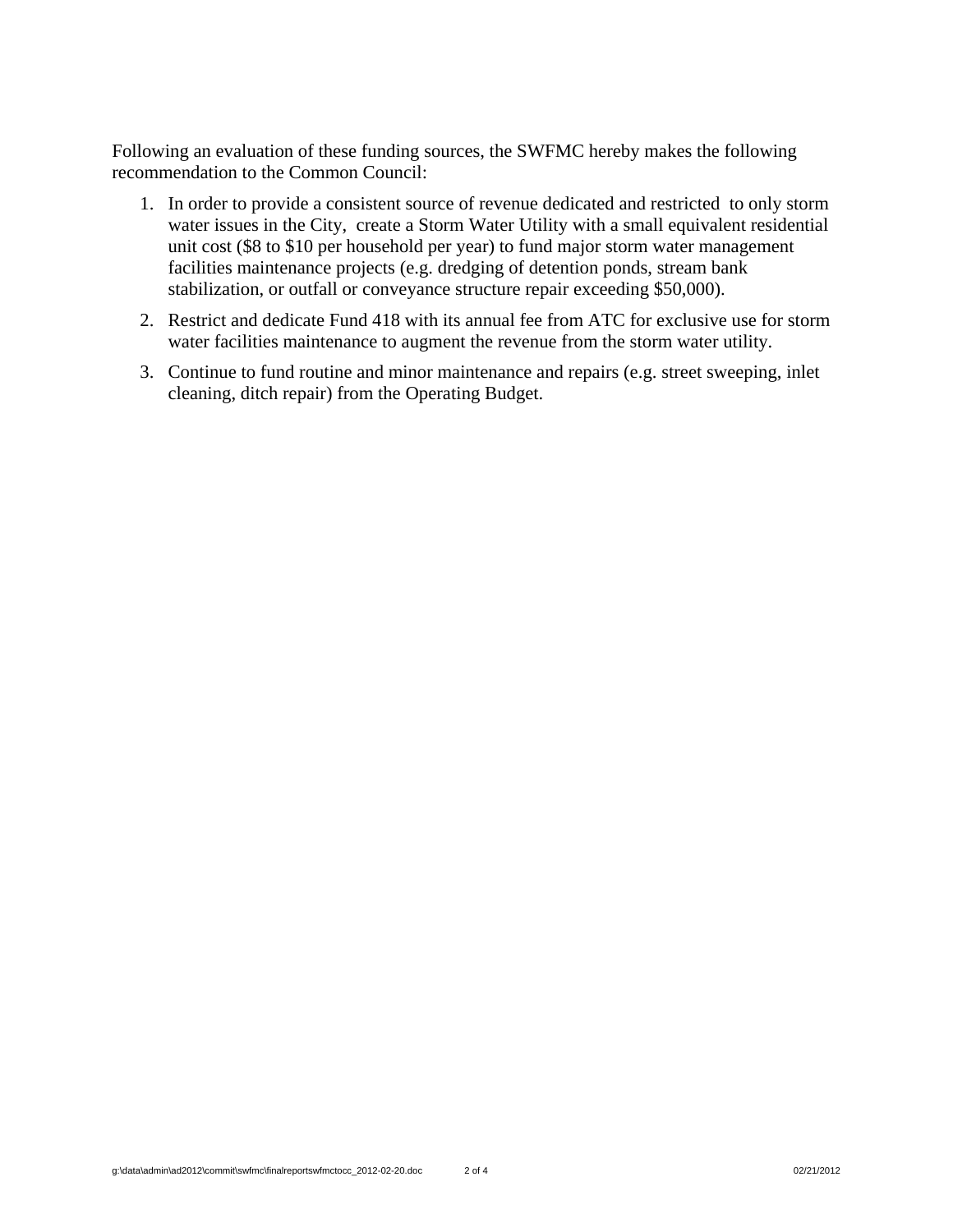Following an evaluation of these funding sources, the SWFMC hereby makes the following recommendation to the Common Council:

- 1. In order to provide a consistent source of revenue dedicated and restricted to only storm water issues in the City, create a Storm Water Utility with a small equivalent residential unit cost (\$8 to \$10 per household per year) to fund major storm water management facilities maintenance projects (e.g. dredging of detention ponds, stream bank stabilization, or outfall or conveyance structure repair exceeding \$50,000).
- 2. Restrict and dedicate Fund 418 with its annual fee from ATC for exclusive use for storm water facilities maintenance to augment the revenue from the storm water utility.
- 3. Continue to fund routine and minor maintenance and repairs (e.g. street sweeping, inlet cleaning, ditch repair) from the Operating Budget.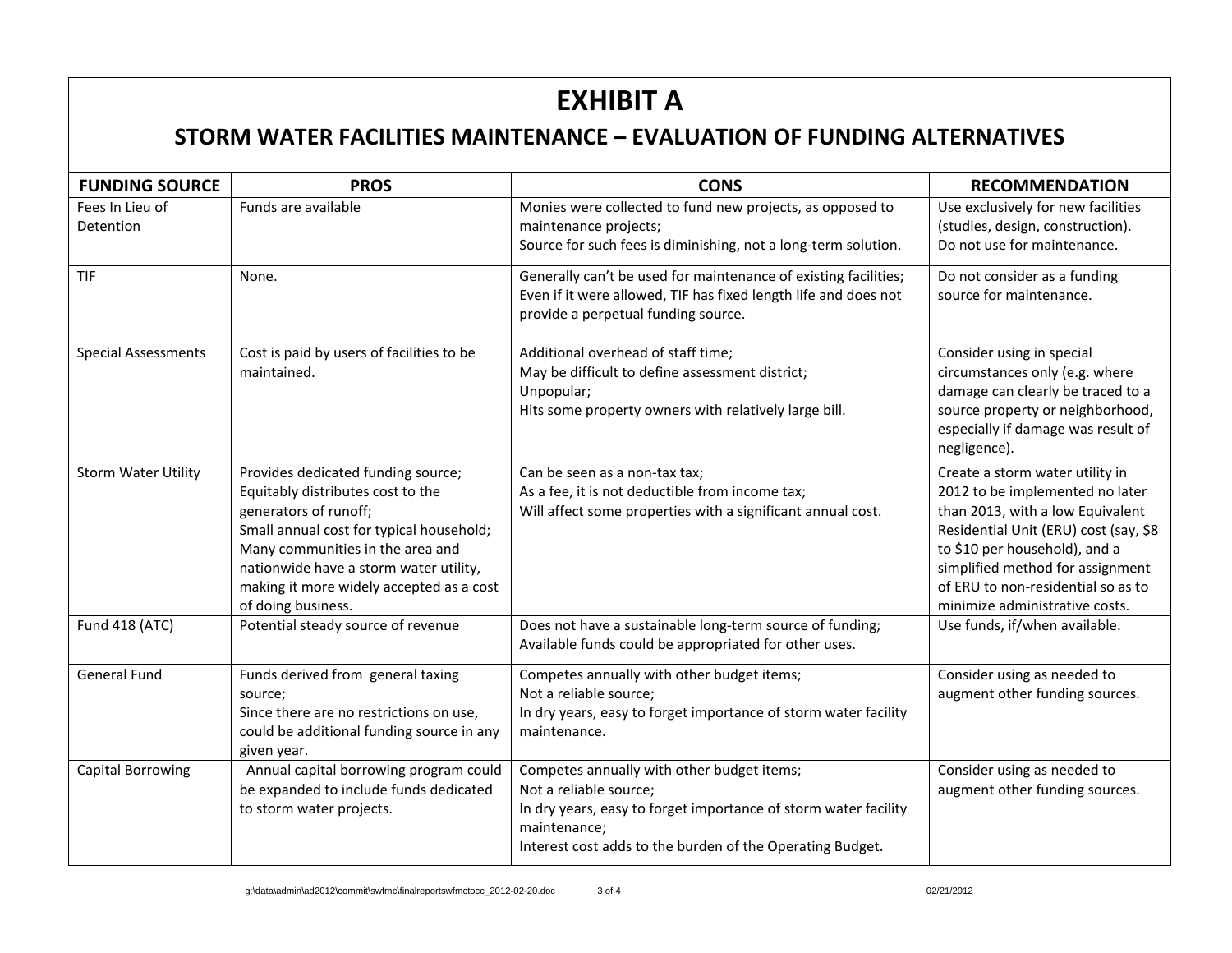## **EXHIBIT A**

### **STORM WATER FACILITIES MAINTENANCE – EVALUATION OF FUNDING ALTERNATIVES**

| <b>FUNDING SOURCE</b>        | <b>PROS</b>                                                                                                                                                                                                                                                                                  | <b>CONS</b>                                                                                                                                                                                                          | <b>RECOMMENDATION</b>                                                                                                                                                                                                                                                                        |
|------------------------------|----------------------------------------------------------------------------------------------------------------------------------------------------------------------------------------------------------------------------------------------------------------------------------------------|----------------------------------------------------------------------------------------------------------------------------------------------------------------------------------------------------------------------|----------------------------------------------------------------------------------------------------------------------------------------------------------------------------------------------------------------------------------------------------------------------------------------------|
| Fees In Lieu of<br>Detention | Funds are available                                                                                                                                                                                                                                                                          | Monies were collected to fund new projects, as opposed to<br>maintenance projects;<br>Source for such fees is diminishing, not a long-term solution.                                                                 | Use exclusively for new facilities<br>(studies, design, construction).<br>Do not use for maintenance.                                                                                                                                                                                        |
| TIF                          | None.                                                                                                                                                                                                                                                                                        | Generally can't be used for maintenance of existing facilities;<br>Even if it were allowed, TIF has fixed length life and does not<br>provide a perpetual funding source.                                            | Do not consider as a funding<br>source for maintenance.                                                                                                                                                                                                                                      |
| <b>Special Assessments</b>   | Cost is paid by users of facilities to be<br>maintained.                                                                                                                                                                                                                                     | Additional overhead of staff time;<br>May be difficult to define assessment district;<br>Unpopular;<br>Hits some property owners with relatively large bill.                                                         | Consider using in special<br>circumstances only (e.g. where<br>damage can clearly be traced to a<br>source property or neighborhood,<br>especially if damage was result of<br>negligence).                                                                                                   |
| <b>Storm Water Utility</b>   | Provides dedicated funding source;<br>Equitably distributes cost to the<br>generators of runoff;<br>Small annual cost for typical household;<br>Many communities in the area and<br>nationwide have a storm water utility,<br>making it more widely accepted as a cost<br>of doing business. | Can be seen as a non-tax tax;<br>As a fee, it is not deductible from income tax;<br>Will affect some properties with a significant annual cost.                                                                      | Create a storm water utility in<br>2012 to be implemented no later<br>than 2013, with a low Equivalent<br>Residential Unit (ERU) cost (say, \$8<br>to \$10 per household), and a<br>simplified method for assignment<br>of ERU to non-residential so as to<br>minimize administrative costs. |
| Fund 418 (ATC)               | Potential steady source of revenue                                                                                                                                                                                                                                                           | Does not have a sustainable long-term source of funding;<br>Available funds could be appropriated for other uses.                                                                                                    | Use funds, if/when available.                                                                                                                                                                                                                                                                |
| <b>General Fund</b>          | Funds derived from general taxing<br>source;<br>Since there are no restrictions on use,<br>could be additional funding source in any<br>given year.                                                                                                                                          | Competes annually with other budget items;<br>Not a reliable source;<br>In dry years, easy to forget importance of storm water facility<br>maintenance.                                                              | Consider using as needed to<br>augment other funding sources.                                                                                                                                                                                                                                |
| <b>Capital Borrowing</b>     | Annual capital borrowing program could<br>be expanded to include funds dedicated<br>to storm water projects.                                                                                                                                                                                 | Competes annually with other budget items;<br>Not a reliable source;<br>In dry years, easy to forget importance of storm water facility<br>maintenance;<br>Interest cost adds to the burden of the Operating Budget. | Consider using as needed to<br>augment other funding sources.                                                                                                                                                                                                                                |